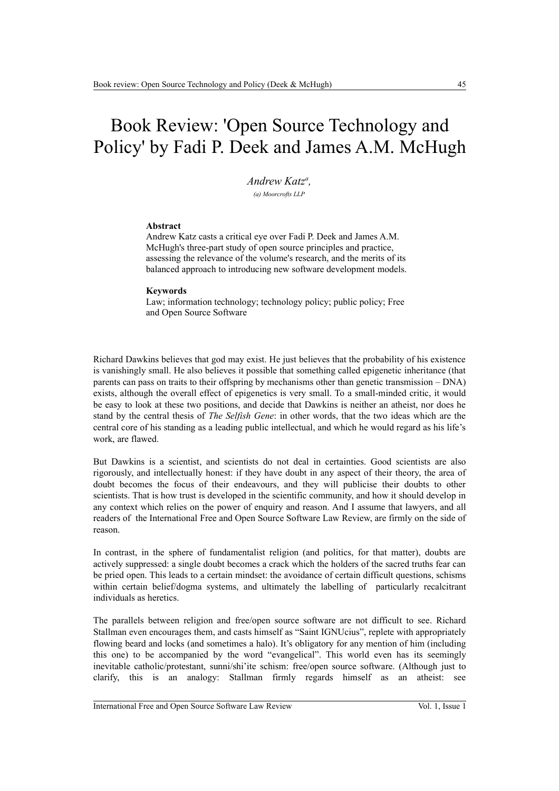## Book Review: 'Open Source Technology and Policy' by Fadi P. Deek and James A.M. McHugh

*Andrew Katz<sup>a</sup> , (a) Moorcrofts LLP*

## **Abstract**

Andrew Katz casts a critical eye over Fadi P. Deek and James A.M. McHugh's three-part study of open source principles and practice, assessing the relevance of the volume's research, and the merits of its balanced approach to introducing new software development models.

## **Keywords**

Law; information technology; technology policy; public policy; Free and Open Source Software

Richard Dawkins believes that god may exist. He just believes that the probability of his existence is vanishingly small. He also believes it possible that something called epigenetic inheritance (that parents can pass on traits to their offspring by mechanisms other than genetic transmission – DNA) exists, although the overall effect of epigenetics is very small. To a small-minded critic, it would be easy to look at these two positions, and decide that Dawkins is neither an atheist, nor does he stand by the central thesis of *The Selfish Gene*: in other words, that the two ideas which are the central core of his standing as a leading public intellectual, and which he would regard as his life's work, are flawed.

But Dawkins is a scientist, and scientists do not deal in certainties. Good scientists are also rigorously, and intellectually honest: if they have doubt in any aspect of their theory, the area of doubt becomes the focus of their endeavours, and they will publicise their doubts to other scientists. That is how trust is developed in the scientific community, and how it should develop in any context which relies on the power of enquiry and reason. And I assume that lawyers, and all readers of the International Free and Open Source Software Law Review, are firmly on the side of reason.

In contrast, in the sphere of fundamentalist religion (and politics, for that matter), doubts are actively suppressed: a single doubt becomes a crack which the holders of the sacred truths fear can be pried open. This leads to a certain mindset: the avoidance of certain difficult questions, schisms within certain belief/dogma systems, and ultimately the labelling of particularly recalcitrant individuals as heretics.

The parallels between religion and free/open source software are not difficult to see. Richard Stallman even encourages them, and casts himself as "Saint IGNUcius", replete with appropriately flowing beard and locks (and sometimes a halo). It's obligatory for any mention of him (including this one) to be accompanied by the word "evangelical". This world even has its seemingly inevitable catholic/protestant, sunni/shi'ite schism: free/open source software. (Although just to clarify, this is an analogy: Stallman firmly regards himself as an atheist: see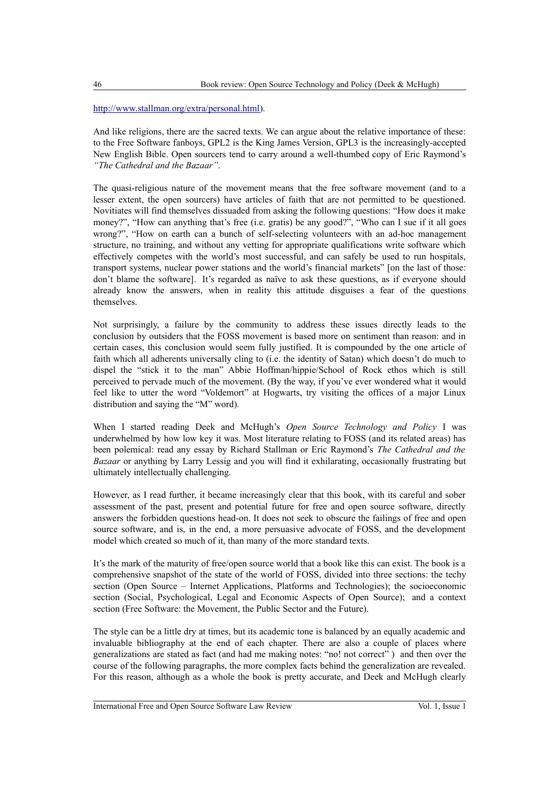## [http://www.stallman.org/extra/personal.html\)](http://www.stallman.org/extra/personal.html).

And like religions, there are the sacred texts. We can argue about the relative importance of these: to the Free Software fanboys, GPL2 is the King James Version, GPL3 is the increasingly-accepted New English Bible. Open sourcers tend to carry around a well-thumbed copy of Eric Raymond's *"The Cathedral and the Bazaar"*.

The quasi-religious nature of the movement means that the free software movement (and to a lesser extent, the open sourcers) have articles of faith that are not permitted to be questioned. Novitiates will find themselves dissuaded from asking the following questions: "How does it make money?", "How can anything that's free (i.e. gratis) be any good?", "Who can I sue if it all goes wrong?", "How on earth can a bunch of self-selecting volunteers with an ad-hoc management structure, no training, and without any vetting for appropriate qualifications write software which effectively competes with the world's most successful, and can safely be used to run hospitals, transport systems, nuclear power stations and the world's financial markets" [on the last of those: don't blame the software]. It's regarded as naïve to ask these questions, as if everyone should already know the answers, when in reality this attitude disguises a fear of the questions themselves.

Not surprisingly, a failure by the community to address these issues directly leads to the conclusion by outsiders that the FOSS movement is based more on sentiment than reason: and in certain cases, this conclusion would seem fully justified. It is compounded by the one article of faith which all adherents universally cling to (i.e. the identity of Satan) which doesn't do much to dispel the "stick it to the man" Abbie Hoffman/hippie/School of Rock ethos which is still perceived to pervade much of the movement. (By the way, if you've ever wondered what it would feel like to utter the word "Voldemort" at Hogwarts, try visiting the offices of a major Linux distribution and saying the "M" word).

When I started reading Deek and McHugh's *Open Source Technology and Policy* I was underwhelmed by how low key it was. Most literature relating to FOSS (and its related areas) has been polemical: read any essay by Richard Stallman or Eric Raymond's *The Cathedral and the Bazaar* or anything by Larry Lessig and you will find it exhilarating, occasionally frustrating but ultimately intellectually challenging.

However, as I read further, it became increasingly clear that this book, with its careful and sober assessment of the past, present and potential future for free and open source software, directly answers the forbidden questions head-on. It does not seek to obscure the failings of free and open source software, and is, in the end, a more persuasive advocate of FOSS, and the development model which created so much of it, than many of the more standard texts.

It's the mark of the maturity of free/open source world that a book like this can exist. The book is a comprehensive snapshot of the state of the world of FOSS, divided into three sections: the techy section (Open Source – Internet Applications, Platforms and Technologies); the socioeconomic section (Social, Psychological, Legal and Economic Aspects of Open Source); and a context section (Free Software: the Movement, the Public Sector and the Future).

The style can be a little dry at times, but its academic tone is balanced by an equally academic and invaluable bibliography at the end of each chapter. There are also a couple of places where generalizations are stated as fact (and had me making notes: "no! not correct" ) and then over the course of the following paragraphs, the more complex facts behind the generalization are revealed. For this reason, although as a whole the book is pretty accurate, and Deek and McHugh clearly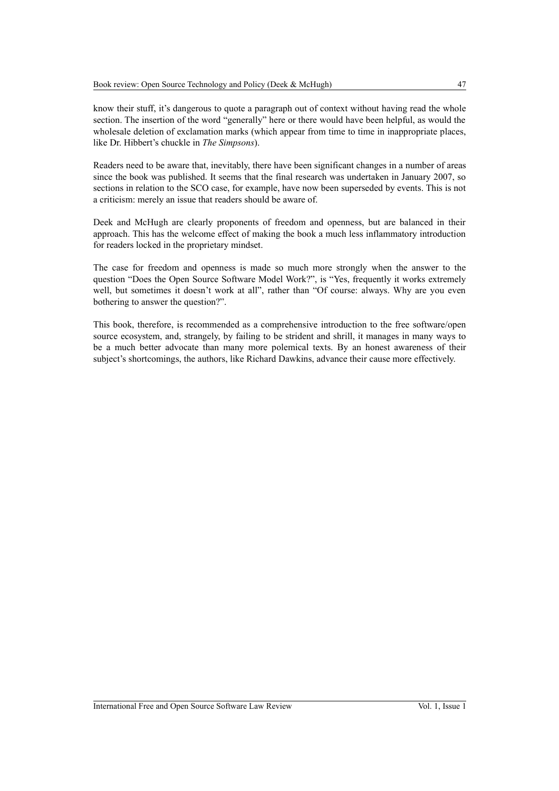know their stuff, it's dangerous to quote a paragraph out of context without having read the whole section. The insertion of the word "generally" here or there would have been helpful, as would the wholesale deletion of exclamation marks (which appear from time to time in inappropriate places, like Dr. Hibbert's chuckle in *The Simpsons*).

Readers need to be aware that, inevitably, there have been significant changes in a number of areas since the book was published. It seems that the final research was undertaken in January 2007, so sections in relation to the SCO case, for example, have now been superseded by events. This is not a criticism: merely an issue that readers should be aware of.

Deek and McHugh are clearly proponents of freedom and openness, but are balanced in their approach. This has the welcome effect of making the book a much less inflammatory introduction for readers locked in the proprietary mindset.

The case for freedom and openness is made so much more strongly when the answer to the question "Does the Open Source Software Model Work?", is "Yes, frequently it works extremely well, but sometimes it doesn't work at all", rather than "Of course: always. Why are you even bothering to answer the question?".

This book, therefore, is recommended as a comprehensive introduction to the free software/open source ecosystem, and, strangely, by failing to be strident and shrill, it manages in many ways to be a much better advocate than many more polemical texts. By an honest awareness of their subject's shortcomings, the authors, like Richard Dawkins, advance their cause more effectively.